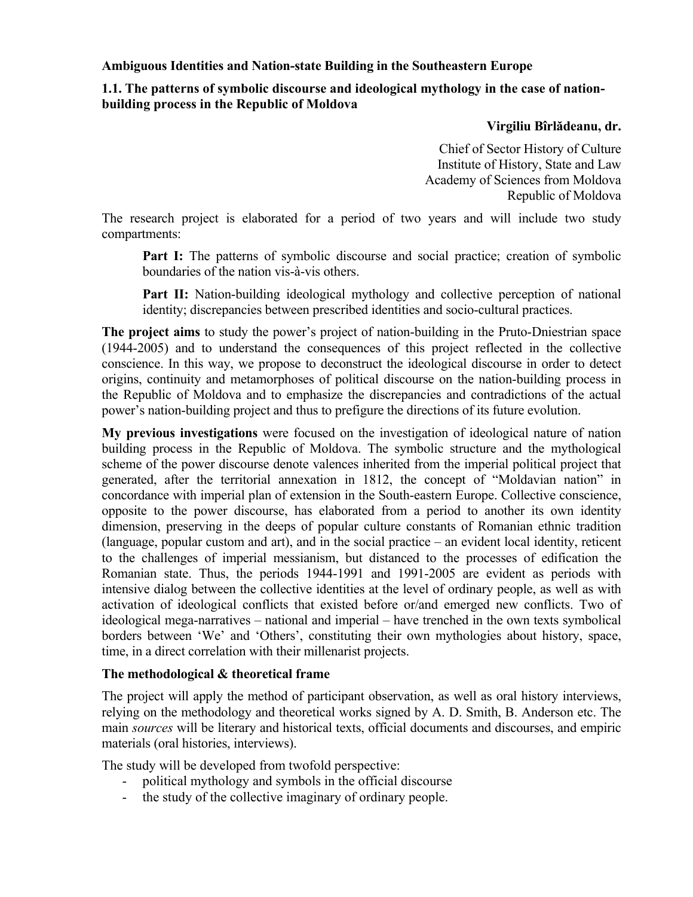**Ambiguous Identities and Nation-state Building in the Southeastern Europe** 

# **1.1. The patterns of symbolic discourse and ideological mythology in the case of nationbuilding process in the Republic of Moldova**

### **Virgiliu Bîrlădeanu, dr.**

Chief of Sector History of Culture Institute of History, State and Law Academy of Sciences from Moldova Republic of Moldova

The research project is elaborated for a period of two years and will include two study compartments:

**Part I:** The patterns of symbolic discourse and social practice; creation of symbolic boundaries of the nation vis-à-vis others.

**Part II:** Nation-building ideological mythology and collective perception of national identity; discrepancies between prescribed identities and socio-cultural practices.

**The project aims** to study the power's project of nation-building in the Pruto-Dniestrian space (1944-2005) and to understand the consequences of this project reflected in the collective conscience. In this way, we propose to deconstruct the ideological discourse in order to detect origins, continuity and metamorphoses of political discourse on the nation-building process in the Republic of Moldova and to emphasize the discrepancies and contradictions of the actual power's nation-building project and thus to prefigure the directions of its future evolution.

**My previous investigations** were focused on the investigation of ideological nature of nation building process in the Republic of Moldova. The symbolic structure and the mythological scheme of the power discourse denote valences inherited from the imperial political project that generated, after the territorial annexation in 1812, the concept of "Moldavian nation" in concordance with imperial plan of extension in the South-eastern Europe. Collective conscience, opposite to the power discourse, has elaborated from a period to another its own identity dimension, preserving in the deeps of popular culture constants of Romanian ethnic tradition (language, popular custom and art), and in the social practice – an evident local identity, reticent to the challenges of imperial messianism, but distanced to the processes of edification the Romanian state. Thus, the periods 1944-1991 and 1991-2005 are evident as periods with intensive dialog between the collective identities at the level of ordinary people, as well as with activation of ideological conflicts that existed before or/and emerged new conflicts. Two of ideological mega-narratives – national and imperial – have trenched in the own texts symbolical borders between 'We' and 'Others', constituting their own mythologies about history, space, time, in a direct correlation with their millenarist projects.

## **The methodological & theoretical frame**

The project will apply the method of participant observation, as well as oral history interviews, relying on the methodology and theoretical works signed by A. D. Smith, B. Anderson etc. The main *sources* will be literary and historical texts, official documents and discourses, and empiric materials (oral histories, interviews).

The study will be developed from twofold perspective:

- political mythology and symbols in the official discourse
- the study of the collective imaginary of ordinary people.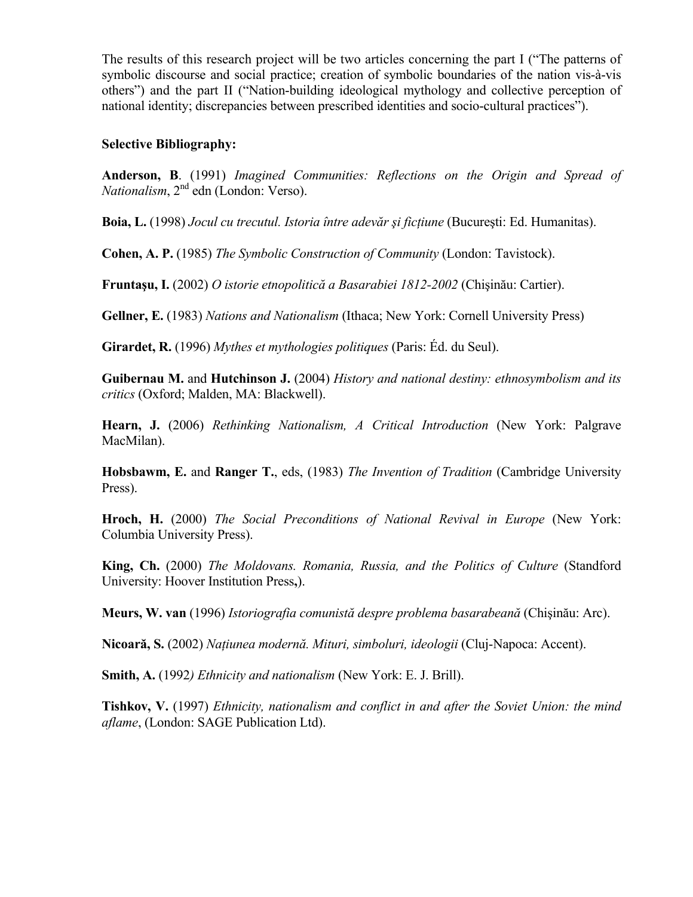The results of this research project will be two articles concerning the part I ("The patterns of symbolic discourse and social practice; creation of symbolic boundaries of the nation vis-à-vis others") and the part II ("Nation-building ideological mythology and collective perception of national identity; discrepancies between prescribed identities and socio-cultural practices").

### **Selective Bibliography:**

**Anderson, B**. (1991) *Imagined Communities: Reflections on the Origin and Spread of Nationalism*,  $2<sup>nd</sup>$  edn (London: Verso).

**Boia, L.** (1998) *Jocul cu trecutul. Istoria între adevăr şi ficţiune* (Bucureşti: Ed. Humanitas).

**Cohen, A. P.** (1985) *The Symbolic Construction of Community* (London: Tavistock).

**Fruntaşu, I.** (2002) *O istorie etnopolitică a Basarabiei 1812-2002* (Chişinău: Cartier).

**Gellner, E.** (1983) *Nations and Nationalism* (Ithaca; New York: Cornell University Press)

**Girardet, R.** (1996) *Mythes et mythologies politiques* (Paris: Éd. du Seul).

**Guibernau M.** and **Hutchinson J.** (2004) *History and national destiny: ethnosymbolism and its critics* (Oxford; Malden, MA: Blackwell).

**Hearn, J.** (2006) *Rethinking Nationalism, A Critical Introduction* (New York: Palgrave MacMilan).

**Hobsbawm, E.** and **Ranger T.**, eds, (1983) *The Invention of Tradition* (Cambridge University Press).

**Hroch, H.** (2000) *The Social Preconditions of National Revival in Europe* (New York: Columbia University Press).

**King, Ch.** (2000) *The Moldovans. Romania, Russia, and the Politics of Culture* (Standford University: Hoover Institution Press**,**).

**Meurs, W. van** (1996) *Istoriografia comunistă despre problema basarabeană* (Chişinău: Arc).

**Nicoară, S.** (2002) *Naţiunea modernă. Mituri, simboluri, ideologii* (Cluj-Napoca: Accent).

**Smith, A.** (1992*) Ethnicity and nationalism* (New York: E. J. Brill).

**Tishkov, V.** (1997) *Ethnicity, nationalism and conflict in and after the Soviet Union: the mind aflame*, (London: SAGE Publication Ltd).